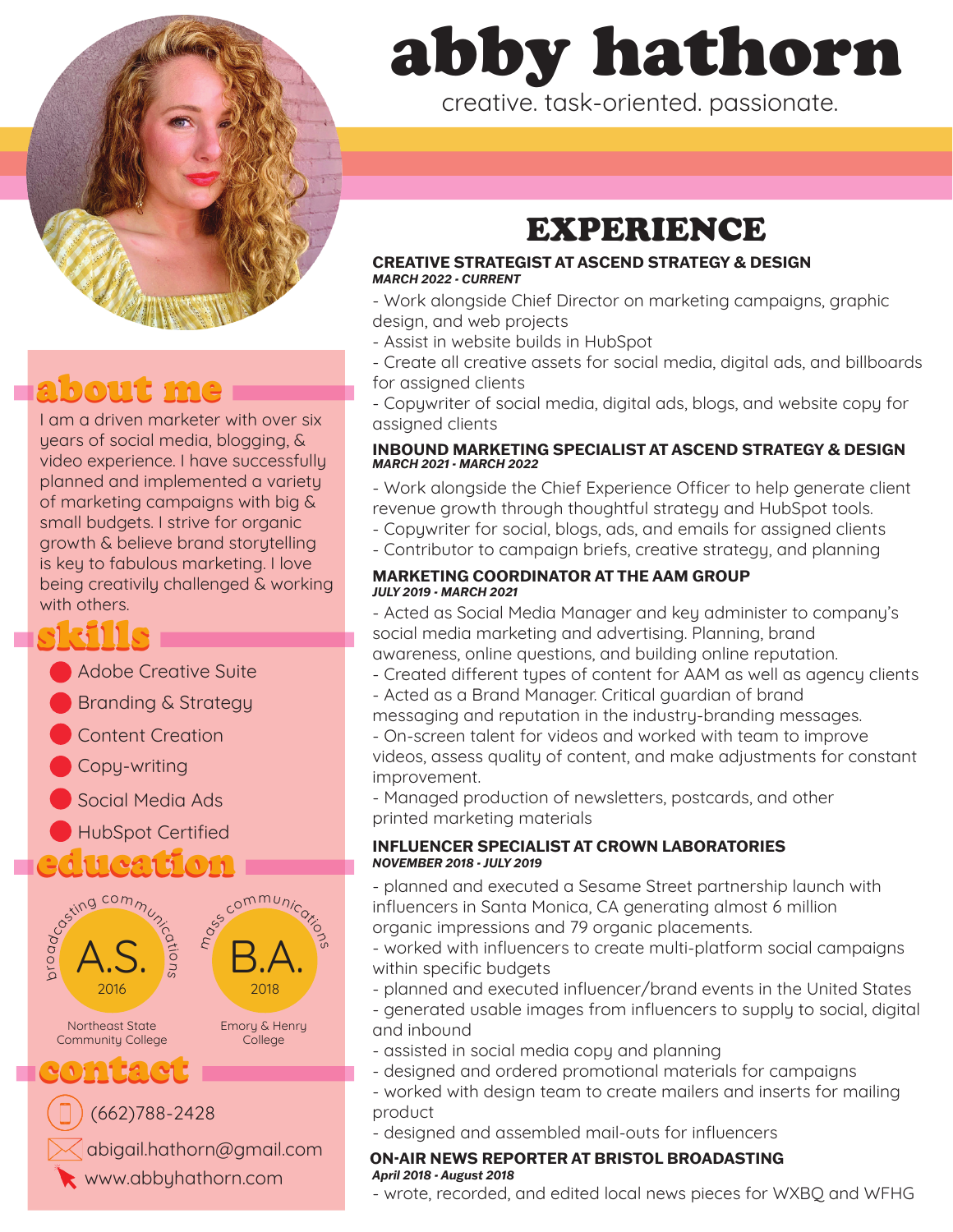

# about me

I am a driven marketer with over six years of social media, blogging, & video experience. I have successfully planned and implemented a variety of marketing campaigns with big & small budgets. I strive for organic growth & believe brand storytelling is key to fabulous marketing. I love being creativily challenged & working with others.

# skills

- Adobe Creative Suite
- Branding & Strategy
- Content Creation
- Copy-writing
- Social Media Ads
- HubSpot Certified

# $2011$   $\sqrt{211}$   $\sqrt{1}$



 $\triangleleft$  abigail.hathorn@gmail.com

# abby hathorn

creative. task-oriented. passionate.

# EXPERIENCE

#### **CREATIVE STRATEGIST AT ASCEND STRATEGY & DESIGN** *MARCH 2022 - CURRENT*

- Work alongside Chief Director on marketing campaigns, graphic design, and web projects

- Assist in website builds in HubSpot
- Create all creative assets for social media, digital ads, and billboards for assigned clients

- Copywriter of social media, digital ads, blogs, and website copy for assigned clients

#### **INBOUND MARKETING SPECIALIST AT ASCEND STRATEGY & DESIGN** *MARCH 2021 - MARCH 2022*

- Work alongside the Chief Experience Officer to help generate client revenue growth through thoughtful strategy and HubSpot tools.

- Copywriter for social, blogs, ads, and emails for assigned clients
- Contributor to campaign briefs, creative strategy, and planning

#### **MARKETING COORDINATOR AT THE AAM GROUP** *JULY 2019 - MARCH 2021*

- Acted as Social Media Manager and key administer to company's social media marketing and advertising. Planning, brand awareness, online questions, and building online reputation.

- Created different types of content for AAM as well as agency clients
- Acted as a Brand Manager. Critical guardian of brand
- messaging and reputation in the industry-branding messages.

- On-screen talent for videos and worked with team to improve videos, assess quality of content, and make adjustments for constant improvement.

- Managed production of newsletters, postcards, and other printed marketing materials

#### **INFLUENCER SPECIALIST AT CROWN LABORATORIES** *NOVEMBER 2018 - JULY 2019*

- planned and executed a Sesame Street partnership launch with influencers in Santa Monica, CA generating almost 6 million organic impressions and 79 organic placements.

- worked with influencers to create multi-platform social campaigns within specific budgets
- planned and executed influencer/brand events in the United States
- generated usable images from influencers to supply to social, digital and inbound
- assisted in social media copy and planning
- designed and ordered promotional materials for campaigns
- worked with design team to create mailers and inserts for mailing product
- designed and assembled mail-outs for influencers

#### **ON-AIR NEWS REPORTER AT BRISTOL BROADASTING** *April 2018 - August 2018*

- wrote, recorded, and edited local news pieces for WXBQ and WFHG www.abbyhathorn.com